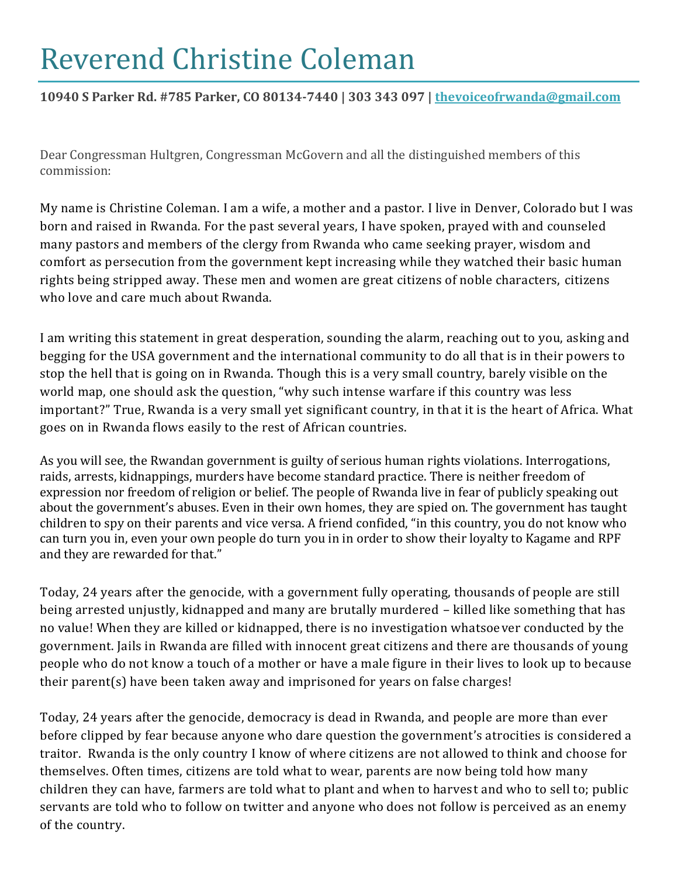# Reverend Christine Coleman

### **10940 S Parker Rd. #785 Parker, CO 80134-7440 | 303 343 097 | thevoiceofrwanda@gmail.com**

Dear Congressman Hultgren, Congressman McGovern and all the distinguished members of this commission:

My name is Christine Coleman. I am a wife, a mother and a pastor. I live in Denver, Colorado but I was born and raised in Rwanda. For the past several years, I have spoken, prayed with and counseled many pastors and members of the clergy from Rwanda who came seeking prayer, wisdom and comfort as persecution from the government kept increasing while they watched their basic human rights being stripped away. These men and women are great citizens of noble characters, citizens who love and care much about Rwanda.

I am writing this statement in great desperation, sounding the alarm, reaching out to you, asking and begging for the USA government and the international community to do all that is in their powers to stop the hell that is going on in Rwanda. Though this is a very small country, barely visible on the world map, one should ask the question, "why such intense warfare if this country was less important?" True, Rwanda is a very small yet significant country, in that it is the heart of Africa. What goes on in Rwanda flows easily to the rest of African countries.

As you will see, the Rwandan government is guilty of serious human rights violations. Interrogations, raids, arrests, kidnappings, murders have become standard practice. There is neither freedom of expression nor freedom of religion or belief. The people of Rwanda live in fear of publicly speaking out about the government's abuses. Even in their own homes, they are spied on. The government has taught children to spy on their parents and vice versa. A friend confided, "in this country, you do not know who can turn you in, even your own people do turn you in in order to show their loyalty to Kagame and RPF and they are rewarded for that."

Today, 24 years after the genocide, with a government fully operating, thousands of people are still being arrested unjustly, kidnapped and many are brutally murdered – killed like something that has no value! When they are killed or kidnapped, there is no investigation whatsoever conducted by the government. Jails in Rwanda are filled with innocent great citizens and there are thousands of young people who do not know a touch of a mother or have a male figure in their lives to look up to because their parent(s) have been taken away and imprisoned for years on false charges!

Today, 24 years after the genocide, democracy is dead in Rwanda, and people are more than ever before clipped by fear because anyone who dare question the government's atrocities is considered a traitor. Rwanda is the only country I know of where citizens are not allowed to think and choose for themselves. Often times, citizens are told what to wear, parents are now being told how many children they can have, farmers are told what to plant and when to harvest and who to sell to; public servants are told who to follow on twitter and anyone who does not follow is perceived as an enemy of the country.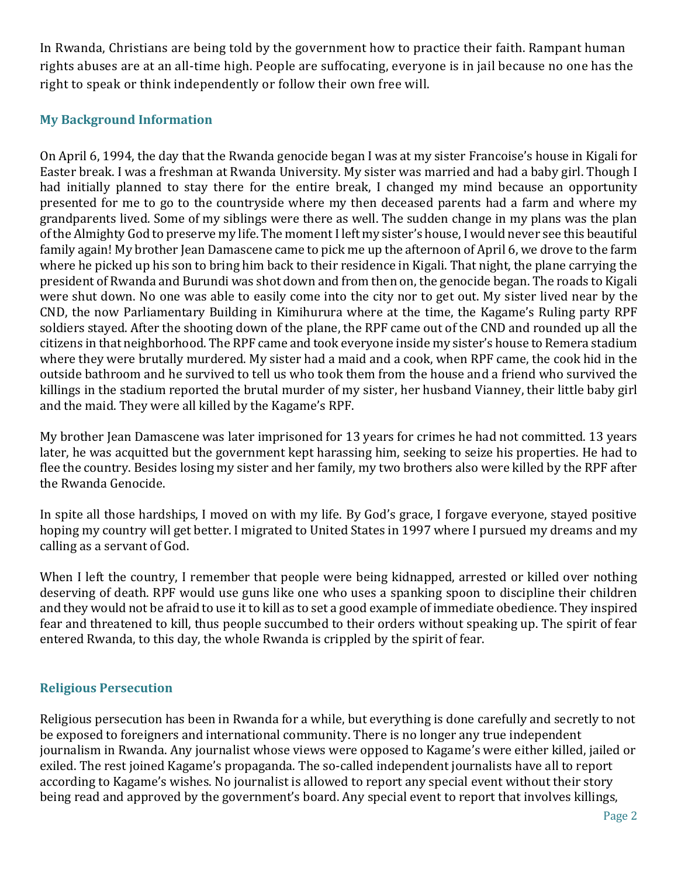In Rwanda, Christians are being told by the government how to practice their faith. Rampant human rights abuses are at an all-time high. People are suffocating, everyone is in jail because no one has the right to speak or think independently or follow their own free will.

#### **My Background Information**

On April 6, 1994, the day that the Rwanda genocide began I was at my sister Francoise's house in Kigali for Easter break. I was a freshman at Rwanda University. My sister was married and had a baby girl. Though I had initially planned to stay there for the entire break, I changed my mind because an opportunity presented for me to go to the countryside where my then deceased parents had a farm and where my grandparents lived. Some of my siblings were there as well. The sudden change in my plans was the plan of the Almighty God to preserve my life. The moment I left my sister's house, I would never see this beautiful family again! My brother Jean Damascene came to pick me up the afternoon of April 6, we drove to the farm where he picked up his son to bring him back to their residence in Kigali. That night, the plane carrying the president of Rwanda and Burundi was shot down and from then on, the genocide began. The roads to Kigali were shut down. No one was able to easily come into the city nor to get out. My sister lived near by the CND, the now Parliamentary Building in Kimihurura where at the time, the Kagame's Ruling party RPF soldiers stayed. After the shooting down of the plane, the RPF came out of the CND and rounded up all the citizens in that neighborhood. The RPF came and took everyone inside my sister's house to Remera stadium where they were brutally murdered. My sister had a maid and a cook, when RPF came, the cook hid in the outside bathroom and he survived to tell us who took them from the house and a friend who survived the killings in the stadium reported the brutal murder of my sister, her husband Vianney, their little baby girl and the maid. They were all killed by the Kagame's RPF.

My brother Jean Damascene was later imprisoned for 13 years for crimes he had not committed. 13 years later, he was acquitted but the government kept harassing him, seeking to seize his properties. He had to flee the country. Besides losing my sister and her family, my two brothers also were killed by the RPF after the Rwanda Genocide.

In spite all those hardships, I moved on with my life. By God's grace, I forgave everyone, stayed positive hoping my country will get better. I migrated to United States in 1997 where I pursued my dreams and my calling as a servant of God.

When I left the country, I remember that people were being kidnapped, arrested or killed over nothing deserving of death. RPF would use guns like one who uses a spanking spoon to discipline their children and they would not be afraid to use it to kill as to set a good example of immediate obedience. They inspired fear and threatened to kill, thus people succumbed to their orders without speaking up. The spirit of fear entered Rwanda, to this day, the whole Rwanda is crippled by the spirit of fear.

#### **Religious Persecution**

Religious persecution has been in Rwanda for a while, but everything is done carefully and secretly to not be exposed to foreigners and international community. There is no longer any true independent journalism in Rwanda. Any journalist whose views were opposed to Kagame's were either killed, jailed or exiled. The rest joined Kagame's propaganda. The so-called independent journalists have all to report according to Kagame's wishes. No journalist is allowed to report any special event without their story being read and approved by the government's board. Any special event to report that involves killings,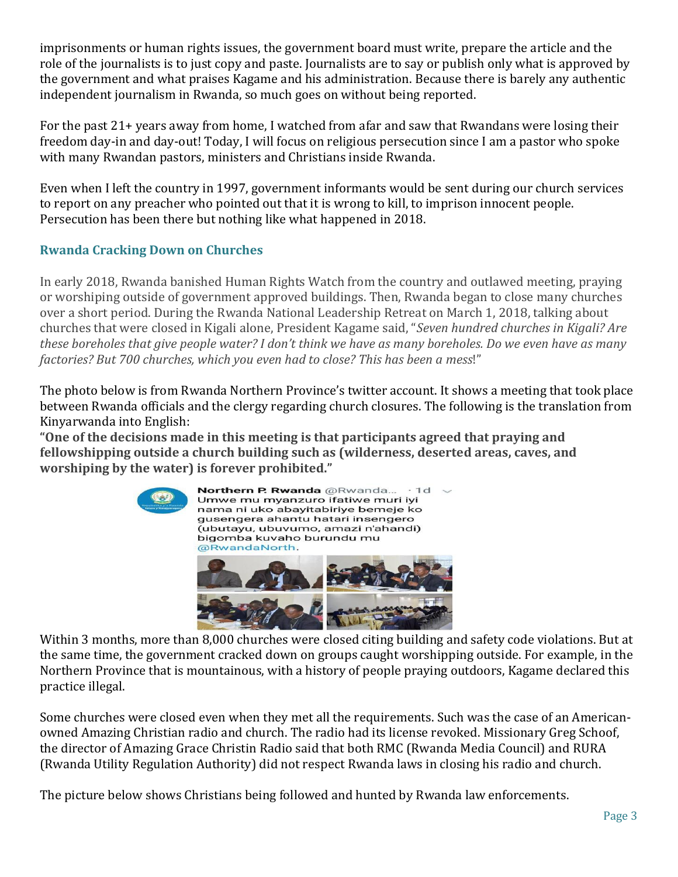imprisonments or human rights issues, the government board must write, prepare the article and the role of the journalists is to just copy and paste. Journalists are to say or publish only what is approved by the government and what praises Kagame and his administration. Because there is barely any authentic independent journalism in Rwanda, so much goes on without being reported.

For the past 21+ years away from home, I watched from afar and saw that Rwandans were losing their freedom day-in and day-out! Today, I will focus on religious persecution since I am a pastor who spoke with many Rwandan pastors, ministers and Christians inside Rwanda.

Even when I left the country in 1997, government informants would be sent during our church services to report on any preacher who pointed out that it is wrong to kill, to imprison innocent people. Persecution has been there but nothing like what happened in 2018.

## **Rwanda Cracking Down on Churches**

In early 2018, Rwanda banished Human Rights Watch from the country and outlawed meeting, praying or worshiping outside of government approved buildings. Then, Rwanda began to close many churches over a short period. During the Rwanda National Leadership Retreat on March 1, 2018, talking about churches that were closed in Kigali alone, President Kagame said, "*Seven hundred churches in Kigali? Are these boreholes that give people water? I don't think we have as many boreholes. Do we even have as many factories? But 700 churches, which you even had to close? This has been a mess*!"

The photo below is from Rwanda Northern Province's twitter account. It shows a meeting that took place between Rwanda officials and the clergy regarding church closures. The following is the translation from Kinyarwanda into English:

**"One of the decisions made in this meeting is that participants agreed that praying and fellowshipping outside a church building such as (wilderness, deserted areas, caves, and worshiping by the water) is forever prohibited."**



Within 3 months, more than 8,000 churches were closed citing building and safety code violations. But at the same time, the government cracked down on groups caught worshipping outside. For example, in the Northern Province that is mountainous, with a history of people praying outdoors, Kagame declared this practice illegal.

Some churches were closed even when they met all the requirements. Such was the case of an Americanowned Amazing Christian radio and church. The radio had its license revoked. Missionary Greg Schoof, the director of Amazing Grace Christin Radio said that both RMC (Rwanda Media Council) and RURA (Rwanda Utility Regulation Authority) did not respect Rwanda laws in closing his radio and church.

The picture below shows Christians being followed and hunted by Rwanda law enforcements.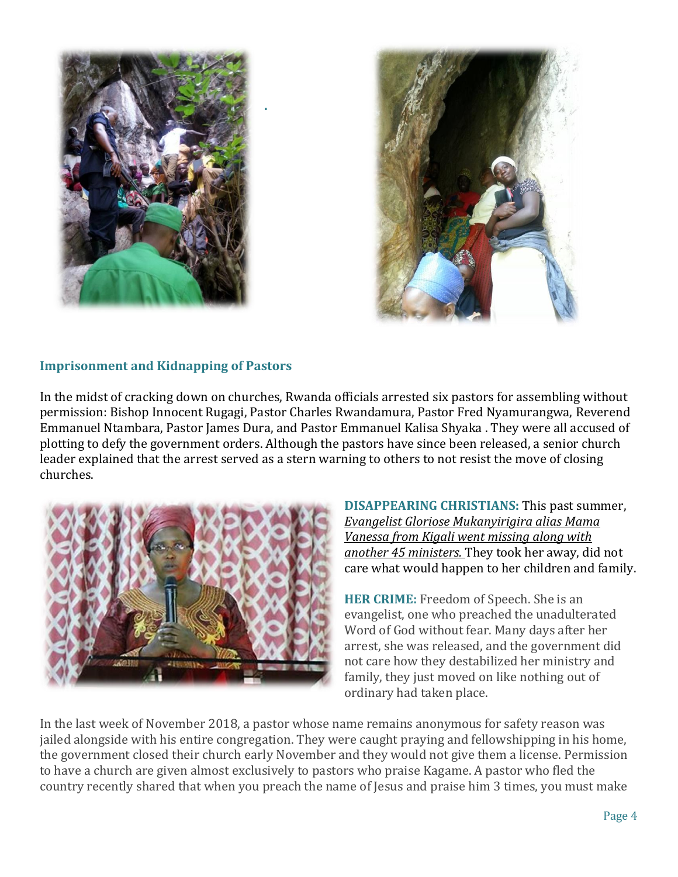

**.**



#### **Imprisonment and Kidnapping of Pastors**

In the midst of cracking down on churches, Rwanda officials arrested six pastors for assembling without permission: Bishop Innocent Rugagi, Pastor Charles Rwandamura, Pastor Fred Nyamurangwa, Reverend Emmanuel Ntambara, Pastor James Dura, and Pastor Emmanuel Kalisa Shyaka . They were all accused of plotting to defy the government orders. Although the pastors have since been released, a senior church leader explained that the arrest served as a stern warning to others to not resist the move of closing churches.



**DISAPPEARING CHRISTIANS:** This past summer, *Evangelist Gloriose Mukanyirigira alias Mama Vanessa from Kigali went missing along with another 45 ministers.* They took her away, did not care what would happen to her children and family.

**HER CRIME:** Freedom of Speech. She is an evangelist, one who preached the unadulterated Word of God without fear. Many days after her arrest, she was released, and the government did not care how they destabilized her ministry and family, they just moved on like nothing out of ordinary had taken place.

In the last week of November 2018, a pastor whose name remains anonymous for safety reason was jailed alongside with his entire congregation. They were caught praying and fellowshipping in his home, the government closed their church early November and they would not give them a license. Permission to have a church are given almost exclusively to pastors who praise Kagame. A pastor who fled the country recently shared that when you preach the name of Jesus and praise him 3 times, you must make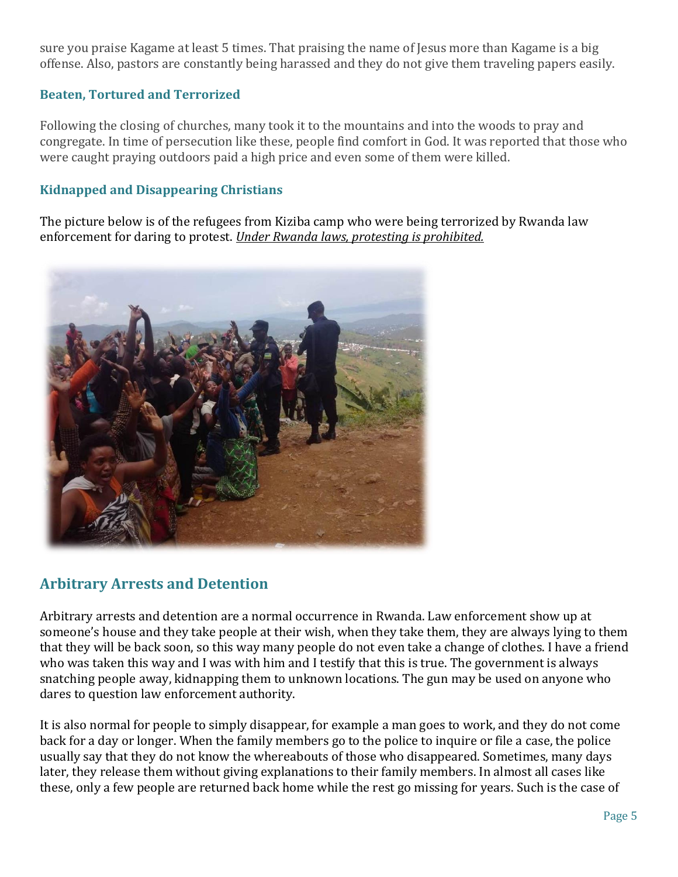sure you praise Kagame at least 5 times. That praising the name of Jesus more than Kagame is a big offense. Also, pastors are constantly being harassed and they do not give them traveling papers easily.

#### **Beaten, Tortured and Terrorized**

Following the closing of churches, many took it to the mountains and into the woods to pray and congregate. In time of persecution like these, people find comfort in God. It was reported that those who were caught praying outdoors paid a high price and even some of them were killed.

#### **Kidnapped and Disappearing Christians**

The picture below is of the refugees from Kiziba camp who were being terrorized by Rwanda law enforcement for daring to protest. *Under Rwanda laws, protesting is prohibited.*



## **Arbitrary Arrests and Detention**

Arbitrary arrests and detention are a normal occurrence in Rwanda. Law enforcement show up at someone's house and they take people at their wish, when they take them, they are always lying to them that they will be back soon, so this way many people do not even take a change of clothes. I have a friend who was taken this way and I was with him and I testify that this is true. The government is always snatching people away, kidnapping them to unknown locations. The gun may be used on anyone who dares to question law enforcement authority.

It is also normal for people to simply disappear, for example a man goes to work, and they do not come back for a day or longer. When the family members go to the police to inquire or file a case, the police usually say that they do not know the whereabouts of those who disappeared. Sometimes, many days later, they release them without giving explanations to their family members. In almost all cases like these, only a few people are returned back home while the rest go missing for years. Such is the case of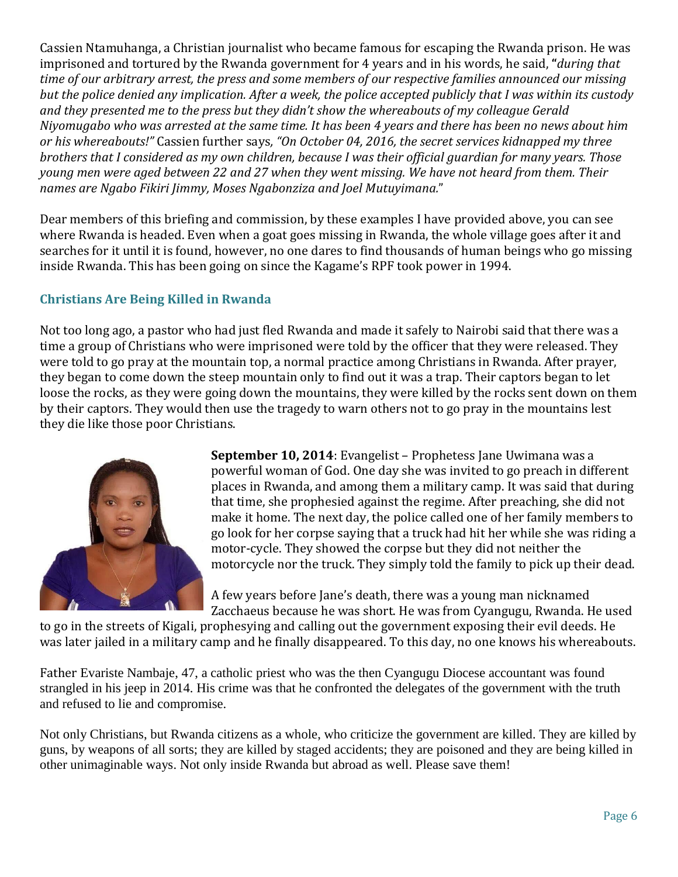Cassien Ntamuhanga, a Christian journalist who became famous for escaping the Rwanda prison. He was imprisoned and tortured by the Rwanda government for 4 years and in his words, he said, **"***during that time of our arbitrary arrest, the press and some members of our respective families announced our missing but the police denied any implication. After a week, the police accepted publicly that I was within its custody and they presented me to the press but they didn't show the whereabouts of my colleague Gerald Niyomugabo who was arrested at the same time. It has been 4 years and there has been no news about him or his whereabouts!"* Cassien further says*, "On October 04, 2016, the secret services kidnapped my three brothers that I considered as my own children, because I was their official guardian for many years. Those young men were aged between 22 and 27 when they went missing. We have not heard from them. Their names are Ngabo Fikiri Jimmy, Moses Ngabonziza and Joel Mutuyimana.*"

Dear members of this briefing and commission, by these examples I have provided above, you can see where Rwanda is headed. Even when a goat goes missing in Rwanda, the whole village goes after it and searches for it until it is found, however, no one dares to find thousands of human beings who go missing inside Rwanda. This has been going on since the Kagame's RPF took power in 1994.

#### **Christians Are Being Killed in Rwanda**

Not too long ago, a pastor who had just fled Rwanda and made it safely to Nairobi said that there was a time a group of Christians who were imprisoned were told by the officer that they were released. They were told to go pray at the mountain top, a normal practice among Christians in Rwanda. After prayer, they began to come down the steep mountain only to find out it was a trap. Their captors began to let loose the rocks, as they were going down the mountains, they were killed by the rocks sent down on them by their captors. They would then use the tragedy to warn others not to go pray in the mountains lest they die like those poor Christians.



**September 10, 2014**: Evangelist – Prophetess Jane Uwimana was a powerful woman of God. One day she was invited to go preach in different places in Rwanda, and among them a military camp. It was said that during that time, she prophesied against the regime. After preaching, she did not make it home. The next day, the police called one of her family members to go look for her corpse saying that a truck had hit her while she was riding a motor-cycle. They showed the corpse but they did not neither the motorcycle nor the truck. They simply told the family to pick up their dead.

A few years before Jane's death, there was a young man nicknamed Zacchaeus because he was short. He was from Cyangugu, Rwanda. He used

to go in the streets of Kigali, prophesying and calling out the government exposing their evil deeds. He was later jailed in a military camp and he finally disappeared. To this day, no one knows his whereabouts.

Father Evariste Nambaje, 47, a catholic priest who was the then Cyangugu Diocese accountant was found strangled in his jeep in 2014. His crime was that he confronted the delegates of the government with the truth and refused to lie and compromise.

Not only Christians, but Rwanda citizens as a whole, who criticize the government are killed. They are killed by guns, by weapons of all sorts; they are killed by staged accidents; they are poisoned and they are being killed in other unimaginable ways. Not only inside Rwanda but abroad as well. Please save them!